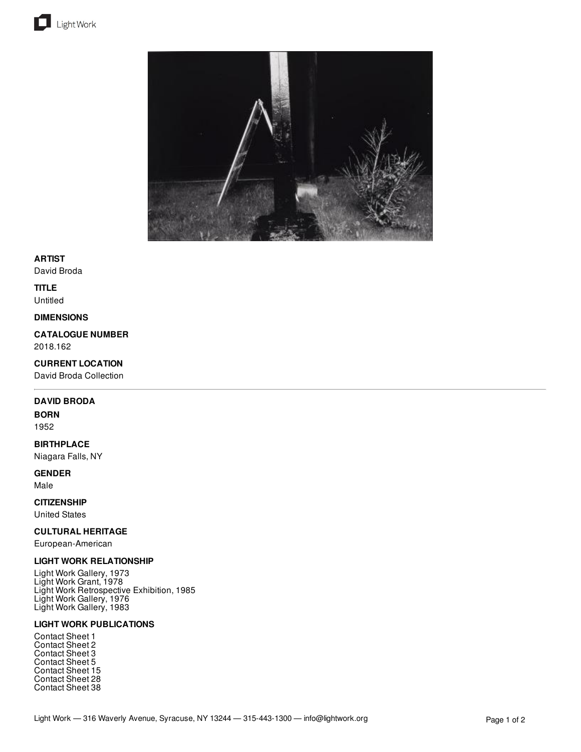



## **ARTIST**

David Broda

# **TITLE**

Untitled

#### **DIMENSIONS**

**CATALOGUE NUMBER** 2018.162

## **CURRENT LOCATION**

David Broda Collection

#### **DAVID BRODA**

#### **BORN**

1952

## **BIRTHPLACE**

Niagara Falls, NY

## **GENDER**

Male

# **CITIZENSHIP**

United States

## **CULTURAL HERITAGE**

European-American

## **LIGHT WORK RELATIONSHIP**

Light Work Gallery, 1973 Light Work Grant, 1978 Light Work Retrospective Exhibition, 1985 Light Work Gallery, 1976 Light Work Gallery, 1983

## **LIGHT WORK PUBLICATIONS**

Contact Sheet 1 Contact Sheet 2 Contact Sheet 3 Contact Sheet 5 Contact Sheet 15 Contact Sheet 28 Contact Sheet 38